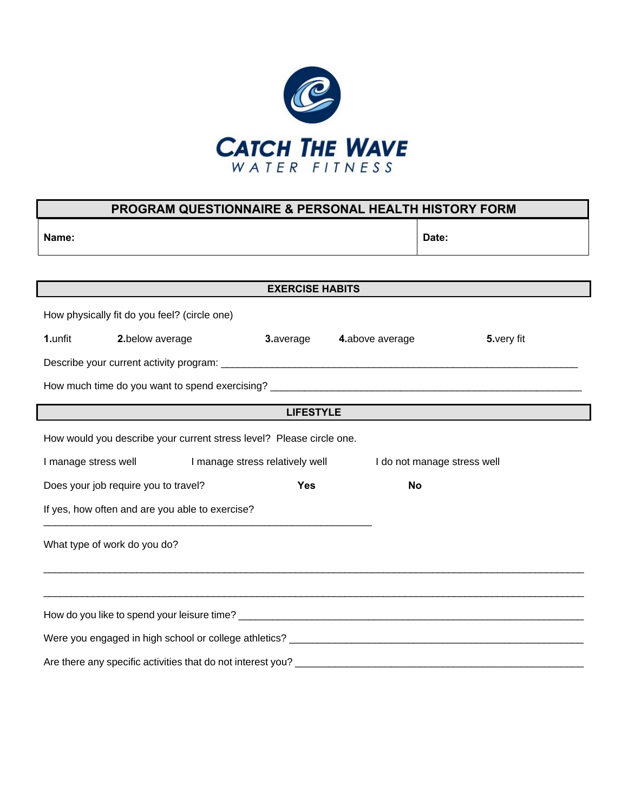

| <b>PROGRAM QUESTIONNAIRE &amp; PERSONAL HEALTH HISTORY FORM</b>                        |                                                                                                                                                                                                                                                   |                                    |            |  |  |  |  |
|----------------------------------------------------------------------------------------|---------------------------------------------------------------------------------------------------------------------------------------------------------------------------------------------------------------------------------------------------|------------------------------------|------------|--|--|--|--|
| Name:                                                                                  |                                                                                                                                                                                                                                                   | Date:                              |            |  |  |  |  |
|                                                                                        |                                                                                                                                                                                                                                                   |                                    |            |  |  |  |  |
| <b>EXERCISE HABITS</b>                                                                 |                                                                                                                                                                                                                                                   |                                    |            |  |  |  |  |
| How physically fit do you feel? (circle one)                                           |                                                                                                                                                                                                                                                   |                                    |            |  |  |  |  |
| 1.unfit<br>2.below average                                                             |                                                                                                                                                                                                                                                   | <b>3.</b> average 4. above average | 5.very fit |  |  |  |  |
|                                                                                        |                                                                                                                                                                                                                                                   |                                    |            |  |  |  |  |
|                                                                                        |                                                                                                                                                                                                                                                   |                                    |            |  |  |  |  |
|                                                                                        | the control of the control of the control of the control of the control of the control of the control of the control of the control of the control of the control of the control of the control of the control of the control<br><b>LIFESTYLE</b> |                                    |            |  |  |  |  |
| How would you describe your current stress level? Please circle one.                   |                                                                                                                                                                                                                                                   |                                    |            |  |  |  |  |
| I manage stress well<br>I manage stress relatively well<br>I do not manage stress well |                                                                                                                                                                                                                                                   |                                    |            |  |  |  |  |
| Does your job require you to travel?                                                   | <b>No</b>                                                                                                                                                                                                                                         |                                    |            |  |  |  |  |
| If yes, how often and are you able to exercise?                                        |                                                                                                                                                                                                                                                   |                                    |            |  |  |  |  |
| What type of work do you do?                                                           |                                                                                                                                                                                                                                                   |                                    |            |  |  |  |  |
|                                                                                        |                                                                                                                                                                                                                                                   |                                    |            |  |  |  |  |
|                                                                                        |                                                                                                                                                                                                                                                   |                                    |            |  |  |  |  |
|                                                                                        |                                                                                                                                                                                                                                                   |                                    |            |  |  |  |  |
|                                                                                        |                                                                                                                                                                                                                                                   |                                    |            |  |  |  |  |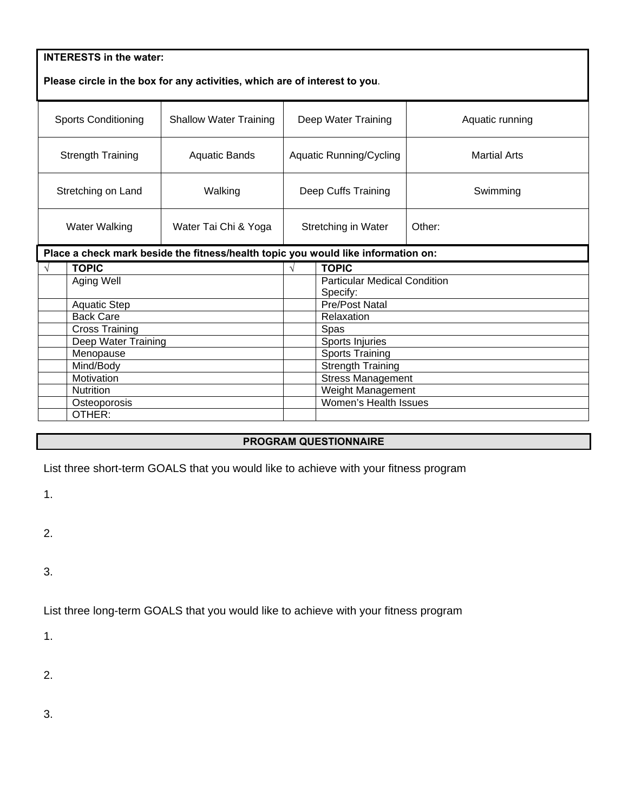| <b>INTERESTS in the water:</b>                                             |                         |                                                                                   |                     |                                                      |          |  |  |  |
|----------------------------------------------------------------------------|-------------------------|-----------------------------------------------------------------------------------|---------------------|------------------------------------------------------|----------|--|--|--|
| Please circle in the box for any activities, which are of interest to you. |                         |                                                                                   |                     |                                                      |          |  |  |  |
| <b>Sports Conditioning</b><br><b>Shallow Water Training</b>                |                         | Deep Water Training                                                               |                     | Aquatic running                                      |          |  |  |  |
| <b>Strength Training</b><br><b>Aquatic Bands</b>                           |                         | <b>Aquatic Running/Cycling</b>                                                    |                     | <b>Martial Arts</b>                                  |          |  |  |  |
| Stretching on Land                                                         |                         | Walking                                                                           | Deep Cuffs Training |                                                      | Swimming |  |  |  |
| <b>Water Walking</b>                                                       |                         | Water Tai Chi & Yoga                                                              | Stretching in Water |                                                      | Other:   |  |  |  |
|                                                                            |                         | Place a check mark beside the fitness/health topic you would like information on: |                     |                                                      |          |  |  |  |
| <b>TOPIC</b><br>V                                                          |                         | $\sqrt{ }$                                                                        | <b>TOPIC</b>        |                                                      |          |  |  |  |
|                                                                            | Aging Well              |                                                                                   |                     | <b>Particular Medical Condition</b>                  |          |  |  |  |
|                                                                            |                         |                                                                                   |                     | Specify:                                             |          |  |  |  |
|                                                                            | <b>Aquatic Step</b>     |                                                                                   |                     | <b>Pre/Post Natal</b>                                |          |  |  |  |
|                                                                            | <b>Back Care</b>        |                                                                                   |                     | Relaxation                                           |          |  |  |  |
|                                                                            | <b>Cross Training</b>   |                                                                                   |                     | Spas                                                 |          |  |  |  |
|                                                                            | Deep Water Training     |                                                                                   |                     | Sports Injuries                                      |          |  |  |  |
|                                                                            | Menopause               |                                                                                   |                     | <b>Sports Training</b>                               |          |  |  |  |
|                                                                            | Mind/Body<br>Motivation |                                                                                   |                     | <b>Strength Training</b><br><b>Stress Management</b> |          |  |  |  |
|                                                                            | Nutrition               |                                                                                   |                     | Weight Management                                    |          |  |  |  |
|                                                                            | Osteoporosis            |                                                                                   |                     | Women's Health Issues                                |          |  |  |  |
|                                                                            | OTHER:                  |                                                                                   |                     |                                                      |          |  |  |  |
|                                                                            |                         |                                                                                   |                     |                                                      |          |  |  |  |

## **PROGRAM QUESTIONNAIRE**

List three short-term GOALS that you would like to achieve with your fitness program

1.

2.

3.

List three long-term GOALS that you would like to achieve with your fitness program

1.

2.

3.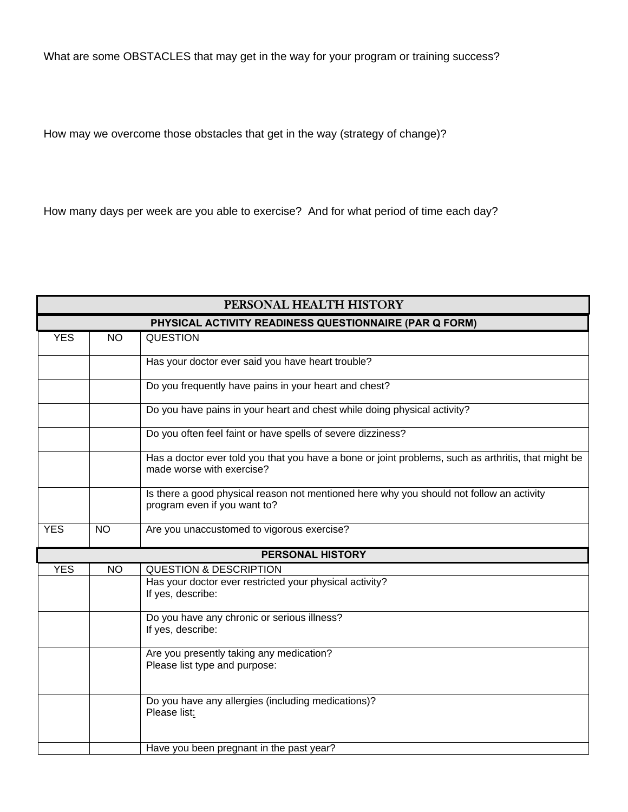What are some OBSTACLES that may get in the way for your program or training success?

How may we overcome those obstacles that get in the way (strategy of change)?

How many days per week are you able to exercise? And for what period of time each day?

| PERSONAL HEALTH HISTORY                                |           |                                                                                                                                  |  |  |
|--------------------------------------------------------|-----------|----------------------------------------------------------------------------------------------------------------------------------|--|--|
| PHYSICAL ACTIVITY READINESS QUESTIONNAIRE (PAR Q FORM) |           |                                                                                                                                  |  |  |
| <b>YES</b>                                             | <b>NO</b> | <b>QUESTION</b>                                                                                                                  |  |  |
|                                                        |           | Has your doctor ever said you have heart trouble?                                                                                |  |  |
|                                                        |           | Do you frequently have pains in your heart and chest?                                                                            |  |  |
|                                                        |           | Do you have pains in your heart and chest while doing physical activity?                                                         |  |  |
|                                                        |           | Do you often feel faint or have spells of severe dizziness?                                                                      |  |  |
|                                                        |           | Has a doctor ever told you that you have a bone or joint problems, such as arthritis, that might be<br>made worse with exercise? |  |  |
|                                                        |           | Is there a good physical reason not mentioned here why you should not follow an activity<br>program even if you want to?         |  |  |
| <b>YES</b>                                             | <b>NO</b> | Are you unaccustomed to vigorous exercise?                                                                                       |  |  |
|                                                        |           | <b>PERSONAL HISTORY</b>                                                                                                          |  |  |
| <b>YES</b>                                             | <b>NO</b> | <b>QUESTION &amp; DESCRIPTION</b>                                                                                                |  |  |
|                                                        |           | Has your doctor ever restricted your physical activity?<br>If yes, describe:                                                     |  |  |
|                                                        |           | Do you have any chronic or serious illness?<br>If yes, describe:                                                                 |  |  |
|                                                        |           | Are you presently taking any medication?<br>Please list type and purpose:                                                        |  |  |
|                                                        |           | Do you have any allergies (including medications)?<br>Please list:                                                               |  |  |
|                                                        |           | Have you been pregnant in the past year?                                                                                         |  |  |